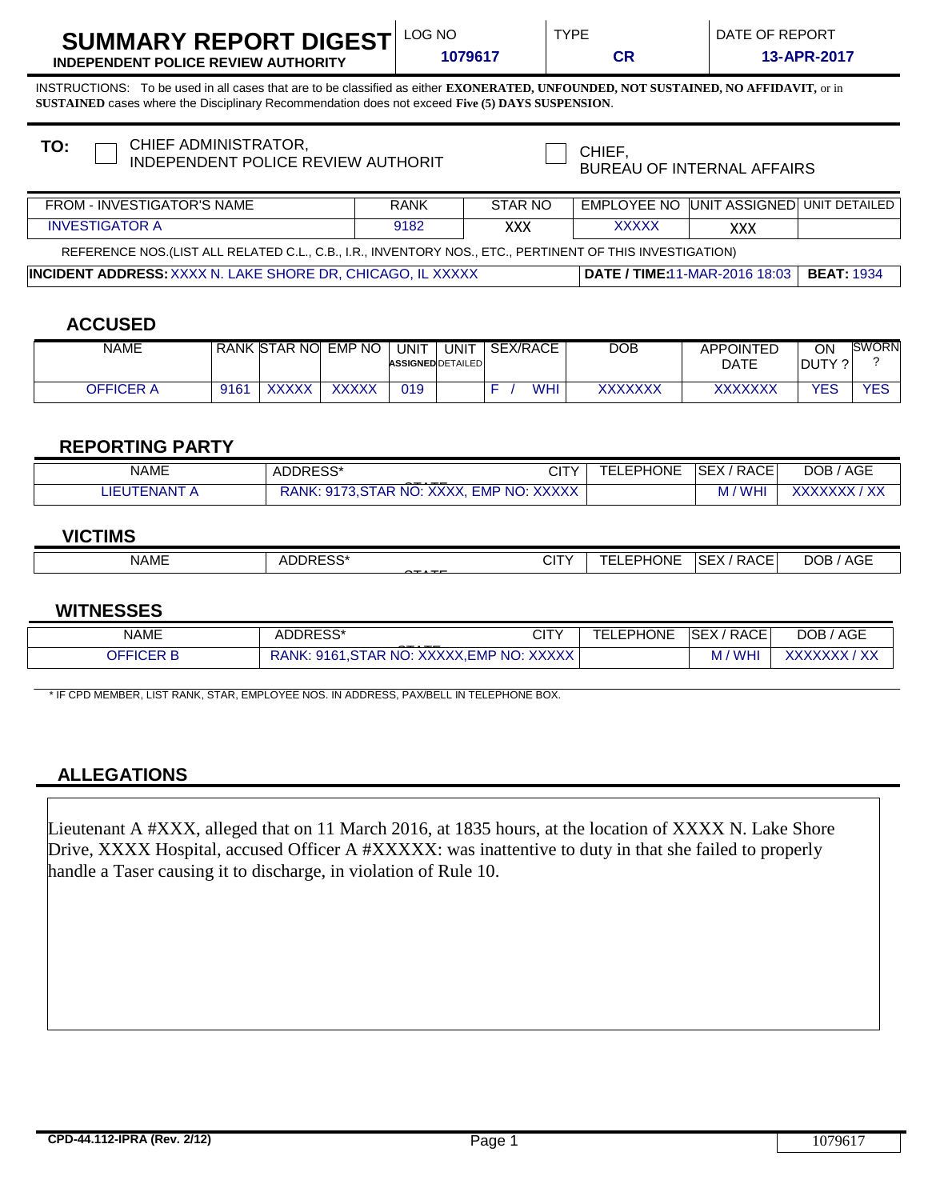| SUMMARY REPORT DIGEST $\mathsf{\color{red} \text{LOC}}$ |  |  |
|---------------------------------------------------------|--|--|
|                                                         |  |  |

**INDEPENDENT POLICE REVIEW AUTHORITY 1079617 CR 13-APR-2017**

INSTRUCTIONS: To be used in all cases that are to be classified as either **EXONERATED, UNFOUNDED, NOT SUSTAINED, NO AFFIDAVIT,** or in **SUSTAINED** cases where the Disciplinary Recommendation does not exceed **Five (5) DAYS SUSPENSION**.

| CHIEF ADMINISTRATOR,<br>TO:<br>INDEPENDENT POLICE REVIEW AUTHORIT                                        |             | CHIEF.<br><b>BUREAU OF INTERNAL AFFAIRS</b> |                   |                                                |  |  |
|----------------------------------------------------------------------------------------------------------|-------------|---------------------------------------------|-------------------|------------------------------------------------|--|--|
| FROM - INVESTIGATOR'S NAME                                                                               | <b>RANK</b> | STAR NO                                     |                   | <b>EMPLOYEE NO UNIT ASSIGNED UNIT DETAILED</b> |  |  |
| <b>INVESTIGATOR A</b><br>9182                                                                            |             | <b>XXX</b>                                  | <b>XXXXX</b>      | <b>XXX</b>                                     |  |  |
| REFERENCE NOS.(LIST ALL RELATED C.L., C.B., I.R., INVENTORY NOS., ETC., PERTINENT OF THIS INVESTIGATION) |             |                                             |                   |                                                |  |  |
| <b>INCIDENT ADDRESS: XXXX N. LAKE SHORE DR, CHICAGO, IL XXXXX</b>                                        |             | <b>DATE / TIME:11-MAR-2016 18:03</b>        | <b>BEAT: 1934</b> |                                                |  |  |
|                                                                                                          |             |                                             |                   |                                                |  |  |

# **ACCUSED**

| NAME             |      | RANK STAR NO   | <b>EMP NO</b> | UNIT<br><b>ASSIGNED DETAILED</b> | UNIT | <b>SEX/RACE</b> | DOB     | <b>APPOINTED</b><br><b>DATE</b> | ΟN<br>DUTY ? | <b>SWORN</b> |
|------------------|------|----------------|---------------|----------------------------------|------|-----------------|---------|---------------------------------|--------------|--------------|
| <b>OFFICER A</b> | 9161 | vvvvv<br>ллллл | <b>XXXXX</b>  | 019                              |      | WHI             | XXXXXXX | <b>XXXXXXX</b>                  | YES          | YES          |

### **REPORTING PARTY**

| NAME                            | nnnn<br>' ADDRESJ<br>-----                                                             | $\sim$<br>◡╷              | EPHONE<br><b>Tr</b><br>- | RACE<br>ISEX / | <b>AGE</b><br><b>DOB</b>               |
|---------------------------------|----------------------------------------------------------------------------------------|---------------------------|--------------------------|----------------|----------------------------------------|
| $- N \Delta N T$<br>.IE<br>`≃N∟ | レハノヽノヽノ<br>NO:<br><b>NO</b><br>∄MP.<br>--<br>RANK<br>$\sim$ 9170<br>AΚ<br><b>AAAA.</b> | <b>YYYYY</b><br>$\lambda$ |                          | WH'<br>M       | $\lambda$<br><u>VWWWW</u><br>$\Lambda$ |

## **VICTIMS**

| <b>NAME</b> | ADDRESS*<br>___<br>$- - - -$ | $\sim$<br>ᄓ | <b>EPHONE</b><br>---<br>.<br>---- | $\sqrt{2}$<br>!SEX.<br>' RACE. | <b>AGE</b><br>DOB |
|-------------|------------------------------|-------------|-----------------------------------|--------------------------------|-------------------|
|             |                              |             |                                   |                                |                   |

### **WITNESSES**

| <b>NAME</b> | ADDRESS*                                                                    | CITY                                                                   | <b>TELEPHONE</b> | <b>SEX/RACE</b>   | <b>AGE</b><br><b>DOB</b>                                                        |
|-------------|-----------------------------------------------------------------------------|------------------------------------------------------------------------|------------------|-------------------|---------------------------------------------------------------------------------|
| OFFICER B   | $-$<br>. XXXXX,EMP<br>NO. <sup>ר</sup><br><b>RANK</b><br>9161<br><b>IAR</b> | <b>VVVVV</b><br>NO:<br>$\bigwedge\bigwedge\bigwedge\bigwedge\bigwedge$ |                  | <b>WHI</b><br>،v١ | $\lambda$<br><u>VWWWW</u><br>$\Lambda$<br>$\land \land \land \land \land \land$ |

\* IF CPD MEMBER, LIST RANK, STAR, EMPLOYEE NOS. IN ADDRESS, PAX/BELL IN TELEPHONE BOX.

# **ALLEGATIONS**

Lieutenant A #XXX, alleged that on 11 March 2016, at 1835 hours, at the location of XXXX N. Lake Shore Drive, XXXX Hospital, accused Officer A #XXXXX: was inattentive to duty in that she failed to properly handle a Taser causing it to discharge, in violation of Rule 10.